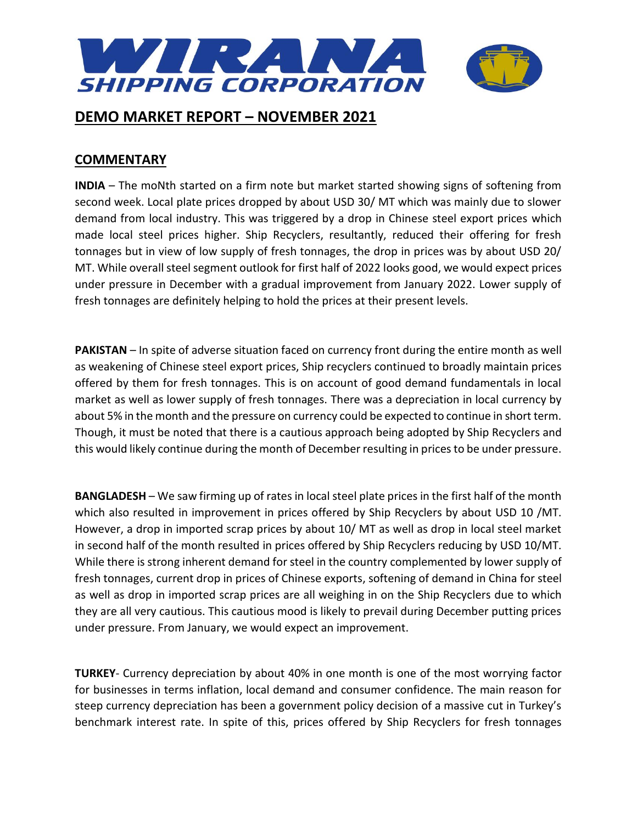

## **COMMENTARY**

**INDIA** – The moNth started on a firm note but market started showing signs of softening from second week. Local plate prices dropped by about USD 30/ MT which was mainly due to slower demand from local industry. This was triggered by a drop in Chinese steel export prices which made local steel prices higher. Ship Recyclers, resultantly, reduced their offering for fresh tonnages but in view of low supply of fresh tonnages, the drop in prices was by about USD 20/ MT. While overall steel segment outlook for first half of 2022 looks good, we would expect prices under pressure in December with a gradual improvement from January 2022. Lower supply of fresh tonnages are definitely helping to hold the prices at their present levels.

**PAKISTAN** – In spite of adverse situation faced on currency front during the entire month as well as weakening of Chinese steel export prices, Ship recyclers continued to broadly maintain prices offered by them for fresh tonnages. This is on account of good demand fundamentals in local market as well as lower supply of fresh tonnages. There was a depreciation in local currency by about 5% in the month and the pressure on currency could be expected to continue in short term. Though, it must be noted that there is a cautious approach being adopted by Ship Recyclers and this would likely continue during the month of December resulting in prices to be under pressure.

**BANGLADESH** – We saw firming up of rates in local steel plate prices in the first half of the month which also resulted in improvement in prices offered by Ship Recyclers by about USD 10 /MT. However, a drop in imported scrap prices by about 10/ MT as well as drop in local steel market in second half of the month resulted in prices offered by Ship Recyclers reducing by USD 10/MT. While there is strong inherent demand for steel in the country complemented by lower supply of fresh tonnages, current drop in prices of Chinese exports, softening of demand in China for steel as well as drop in imported scrap prices are all weighing in on the Ship Recyclers due to which they are all very cautious. This cautious mood is likely to prevail during December putting prices under pressure. From January, we would expect an improvement.

**TURKEY**- Currency depreciation by about 40% in one month is one of the most worrying factor for businesses in terms inflation, local demand and consumer confidence. The main reason for steep currency depreciation has been a government policy decision of a massive cut in Turkey's benchmark interest rate. In spite of this, prices offered by Ship Recyclers for fresh tonnages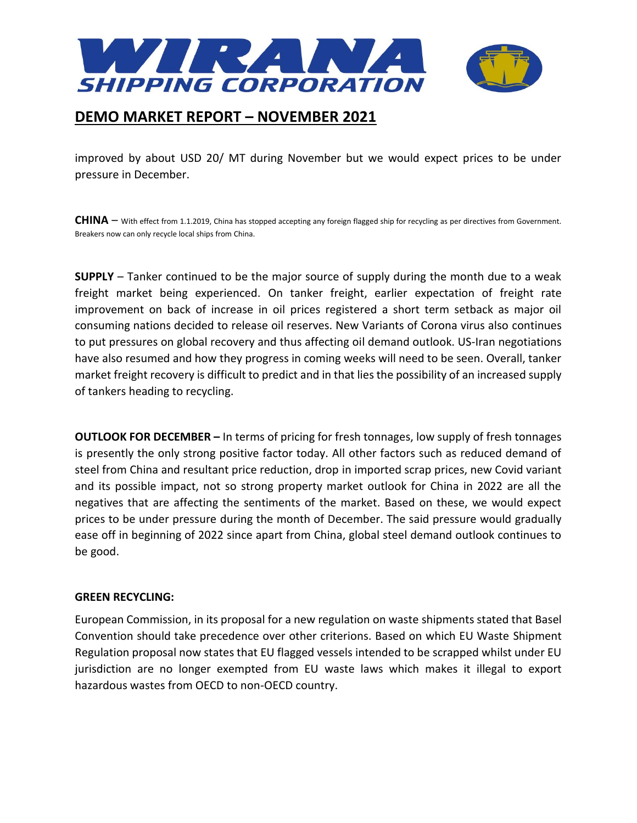

improved by about USD 20/ MT during November but we would expect prices to be under pressure in December.

**CHINA** – With effect from 1.1.2019, China has stopped accepting any foreign flagged ship for recycling as per directives from Government. Breakers now can only recycle local ships from China.

**SUPPLY** – Tanker continued to be the major source of supply during the month due to a weak freight market being experienced. On tanker freight, earlier expectation of freight rate improvement on back of increase in oil prices registered a short term setback as major oil consuming nations decided to release oil reserves. New Variants of Corona virus also continues to put pressures on global recovery and thus affecting oil demand outlook. US-Iran negotiations have also resumed and how they progress in coming weeks will need to be seen. Overall, tanker market freight recovery is difficult to predict and in that lies the possibility of an increased supply of tankers heading to recycling.

**OUTLOOK FOR DECEMBER –** In terms of pricing for fresh tonnages, low supply of fresh tonnages is presently the only strong positive factor today. All other factors such as reduced demand of steel from China and resultant price reduction, drop in imported scrap prices, new Covid variant and its possible impact, not so strong property market outlook for China in 2022 are all the negatives that are affecting the sentiments of the market. Based on these, we would expect prices to be under pressure during the month of December. The said pressure would gradually ease off in beginning of 2022 since apart from China, global steel demand outlook continues to be good.

#### **GREEN RECYCLING:**

European Commission, in its proposal for a new regulation on waste shipments stated that Basel Convention should take precedence over other criterions. Based on which EU Waste Shipment Regulation proposal now states that EU flagged vessels intended to be scrapped whilst under EU jurisdiction are no longer exempted from EU waste laws which makes it illegal to export hazardous wastes from OECD to non-OECD country.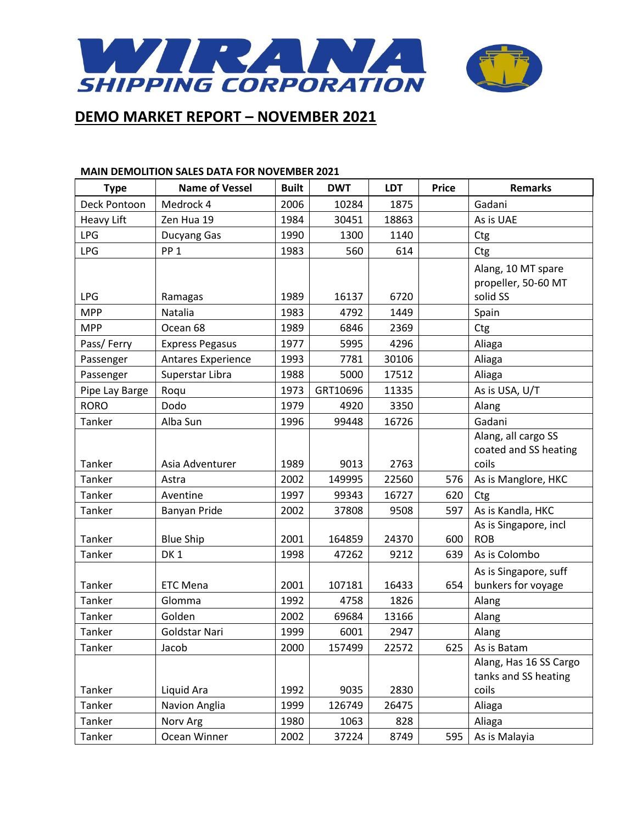

#### **MAIN DEMOLITION SALES DATA FOR NOVEMBER 2021**

| <b>Type</b>       | <b>Name of Vessel</b>     | <b>Built</b> | <b>DWT</b> | <b>LDT</b> | <b>Price</b> | <b>Remarks</b>                  |
|-------------------|---------------------------|--------------|------------|------------|--------------|---------------------------------|
| Deck Pontoon      | Medrock 4                 | 2006         | 10284      | 1875       |              | Gadani                          |
| <b>Heavy Lift</b> | Zen Hua 19                | 1984         | 30451      | 18863      |              | As is UAE                       |
| <b>LPG</b>        | Ducyang Gas               | 1990         | 1300       | 1140       |              | Ctg                             |
| <b>LPG</b>        | PP <sub>1</sub>           | 1983         | 560        | 614        |              | Ctg                             |
|                   |                           |              |            |            |              | Alang, 10 MT spare              |
| <b>LPG</b>        |                           | 1989         | 16137      | 6720       |              | propeller, 50-60 MT<br>solid SS |
| <b>MPP</b>        | Ramagas<br>Natalia        | 1983         | 4792       | 1449       |              | Spain                           |
| <b>MPP</b>        | Ocean 68                  | 1989         | 6846       | 2369       |              |                                 |
|                   |                           | 1977         | 5995       | 4296       |              | Ctg                             |
| Pass/Ferry        | <b>Express Pegasus</b>    |              |            |            |              | Aliaga                          |
| Passenger         | <b>Antares Experience</b> | 1993         | 7781       | 30106      |              | Aliaga                          |
| Passenger         | Superstar Libra           | 1988         | 5000       | 17512      |              | Aliaga                          |
| Pipe Lay Barge    | Roqu                      | 1973         | GRT10696   | 11335      |              | As is USA, U/T                  |
| <b>RORO</b>       | Dodo                      | 1979         | 4920       | 3350       |              | Alang                           |
| Tanker            | Alba Sun                  | 1996         | 99448      | 16726      |              | Gadani                          |
|                   |                           |              |            |            |              | Alang, all cargo SS             |
| Tanker            | Asia Adventurer           | 1989         | 9013       | 2763       |              | coated and SS heating<br>coils  |
| Tanker            | Astra                     | 2002         | 149995     | 22560      | 576          | As is Manglore, HKC             |
| Tanker            | Aventine                  | 1997         | 99343      | 16727      | 620          | Ctg                             |
| Tanker            | Banyan Pride              | 2002         | 37808      | 9508       | 597          | As is Kandla, HKC               |
|                   |                           |              |            |            |              | As is Singapore, incl           |
| Tanker            | <b>Blue Ship</b>          | 2001         | 164859     | 24370      | 600          | <b>ROB</b>                      |
| Tanker            | DK <sub>1</sub>           | 1998         | 47262      | 9212       | 639          | As is Colombo                   |
|                   |                           |              |            |            |              | As is Singapore, suff           |
| Tanker            | <b>ETC Mena</b>           | 2001         | 107181     | 16433      | 654          | bunkers for voyage              |
| Tanker            | Glomma                    | 1992         | 4758       | 1826       |              | Alang                           |
| Tanker            | Golden                    | 2002         | 69684      | 13166      |              | Alang                           |
| Tanker            | Goldstar Nari             | 1999         | 6001       | 2947       |              | Alang                           |
| Tanker            | Jacob                     | 2000         | 157499     | 22572      | 625          | As is Batam                     |
|                   |                           |              |            |            |              | Alang, Has 16 SS Cargo          |
|                   |                           |              |            |            |              | tanks and SS heating            |
| Tanker            | Liquid Ara                | 1992         | 9035       | 2830       |              | coils                           |
| Tanker            | Navion Anglia             | 1999         | 126749     | 26475      |              | Aliaga                          |
| Tanker            | Norv Arg                  | 1980         | 1063       | 828        |              | Aliaga                          |
| Tanker            | Ocean Winner              | 2002         | 37224      | 8749       | 595          | As is Malayia                   |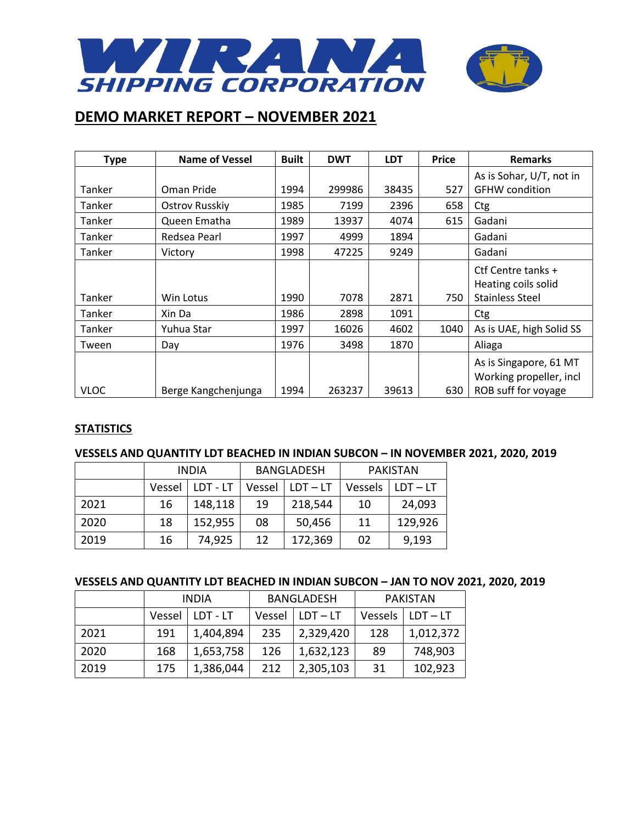

| <b>Type</b> | <b>Name of Vessel</b> | <b>Built</b> | <b>DWT</b> | <b>LDT</b> | <b>Price</b> | <b>Remarks</b>                                                           |
|-------------|-----------------------|--------------|------------|------------|--------------|--------------------------------------------------------------------------|
|             |                       |              |            |            |              | As is Sohar, U/T, not in                                                 |
| Tanker      | Oman Pride            | 1994         | 299986     | 38435      | 527          | <b>GFHW</b> condition                                                    |
| Tanker      | Ostrov Russkiy        | 1985         | 7199       | 2396       | 658          | Ctg                                                                      |
| Tanker      | Queen Ematha          | 1989         | 13937      | 4074       | 615          | Gadani                                                                   |
| Tanker      | Redsea Pearl          | 1997         | 4999       | 1894       |              | Gadani                                                                   |
| Tanker      | Victory               | 1998         | 47225      | 9249       |              | Gadani                                                                   |
|             |                       |              |            |            |              | Ctf Centre tanks +<br>Heating coils solid                                |
| Tanker      | Win Lotus             | 1990         | 7078       | 2871       | 750          | <b>Stainless Steel</b>                                                   |
| Tanker      | Xin Da                | 1986         | 2898       | 1091       |              | Ctg                                                                      |
| Tanker      | Yuhua Star            | 1997         | 16026      | 4602       | 1040         | As is UAE, high Solid SS                                                 |
| Tween       | Day                   | 1976         | 3498       | 1870       |              | Aliaga                                                                   |
| <b>VLOC</b> | Berge Kangchenjunga   | 1994         | 263237     | 39613      | 630          | As is Singapore, 61 MT<br>Working propeller, incl<br>ROB suff for voyage |

#### **STATISTICS**

#### **VESSELS AND QUANTITY LDT BEACHED IN INDIAN SUBCON – IN NOVEMBER 2021, 2020, 2019**

|      | <b>INDIA</b> |          | <b>BANGLADESH</b> |            | <b>PAKISTAN</b> |            |
|------|--------------|----------|-------------------|------------|-----------------|------------|
|      | Vessel       | LDT - LT | Vessel            | $LDT - LT$ | Vessels         | $LDT - LT$ |
| 2021 | 16           | 148,118  | 19                | 218,544    | 10              | 24,093     |
| 2020 | 18           | 152,955  | 08                | 50,456     | 11              | 129,926    |
| 2019 | 16           | 74,925   | 12                | 172,369    | 02              | 9,193      |

#### **VESSELS AND QUANTITY LDT BEACHED IN INDIAN SUBCON – JAN TO NOV 2021, 2020, 2019**

|      | <b>INDIA</b> |           | <b>BANGLADESH</b> |            | PAKISTAN |            |
|------|--------------|-----------|-------------------|------------|----------|------------|
|      | Vessel       | LDT - LT  | Vessel            | $LDT - LT$ | Vessels  | $LDT - LT$ |
| 2021 | 191          | 1,404,894 | 235               | 2,329,420  | 128      | 1,012,372  |
| 2020 | 168          | 1,653,758 | 126               | 1,632,123  | 89       | 748,903    |
| 2019 | 175          | 1,386,044 | 212               | 2,305,103  | 31       | 102,923    |